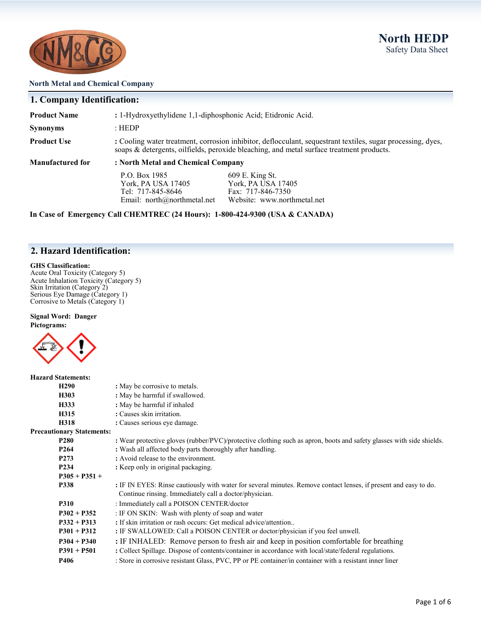

#### **North Metal and Chemical Company**

### **1. Company Identification:**

| <b>Manufactured for</b> | : North Metal and Chemical Company                                                                                                                                                                      |
|-------------------------|---------------------------------------------------------------------------------------------------------------------------------------------------------------------------------------------------------|
| <b>Product Use</b>      | : Cooling water treatment, corrosion inhibitor, deflocculant, sequestrant textiles, sugar processing, dyes,<br>soaps & detergents, oilfields, peroxide bleaching, and metal surface treatment products. |
| <b>Synonyms</b>         | : HEDP                                                                                                                                                                                                  |
| <b>Product Name</b>     | : 1-Hydroxyethylidene 1,1-diphosphonic Acid; Etidronic Acid.                                                                                                                                            |

**P.O. Box 1985** 609 E. King St.<br>
York, PA USA 17405 York, PA USA 17405 York, PA USA 17405 York, PA USA 1740<br>Tel: 717-845-8646 Fax: 717-846-7350 Tel:  $717-845-8646$ <br>Email: north@northmetal.net Website: www.northmetal.net

**In Case of Emergency Call CHEMTREC (24 Hours): 1-800-424-9300 (USA & CANADA)**

### **2. Hazard Identification:**

#### **GHS Classification:**

Acute Oral Toxicity (Category 5) Acute Inhalation Toxicity (Category 5) Skin Irritation (Category 2) Serious Eye Damage (Category 1) Corrosive to Metals (Category 1)

### **Signal Word: Danger**





| <b>Hazard Statements:</b>        |                                                                                                                                                                            |
|----------------------------------|----------------------------------------------------------------------------------------------------------------------------------------------------------------------------|
| H <sub>290</sub>                 | : May be corrosive to metals.                                                                                                                                              |
| H303                             | : May be harmful if swallowed.                                                                                                                                             |
| H333                             | : May be harmful if inhaled                                                                                                                                                |
| H315                             | : Causes skin irritation.                                                                                                                                                  |
| H318                             | : Causes serious eye damage.                                                                                                                                               |
| <b>Precautionary Statements:</b> |                                                                                                                                                                            |
| <b>P280</b>                      | : Wear protective gloves (rubber/PVC)/protective clothing such as apron, boots and safety glasses with side shields.                                                       |
| P <sub>264</sub>                 | : Wash all affected body parts thoroughly after handling.                                                                                                                  |
| P <sub>273</sub>                 | : Avoid release to the environment.                                                                                                                                        |
| P <sub>2</sub> 34                | : Keep only in original packaging.                                                                                                                                         |
| $P305 + P351 +$                  |                                                                                                                                                                            |
| P338                             | : IF IN EYES: Rinse cautiously with water for several minutes. Remove contact lenses, if present and easy to do.<br>Continue rinsing. Immediately call a doctor/physician. |
| <b>P310</b>                      | : Immediately call a POISON CENTER/doctor                                                                                                                                  |
| $P302 + P352$                    | : IF ON SKIN: Wash with plenty of soap and water                                                                                                                           |
| $P332 + P313$                    | : If skin irritation or rash occurs: Get medical advice/attention                                                                                                          |
| $P301 + P312$                    | : IF SWALLOWED: Call a POISON CENTER or doctor/physician if you feel unwell.                                                                                               |
| $P304 + P340$                    | : IF INHALED: Remove person to fresh air and keep in position comfortable for breathing                                                                                    |
| $P391 + P501$                    | : Collect Spillage. Dispose of contents/container in accordance with local/state/federal regulations.                                                                      |
| P406                             | : Store in corrosive resistant Glass, PVC, PP or PE container/in container with a resistant inner liner                                                                    |
|                                  |                                                                                                                                                                            |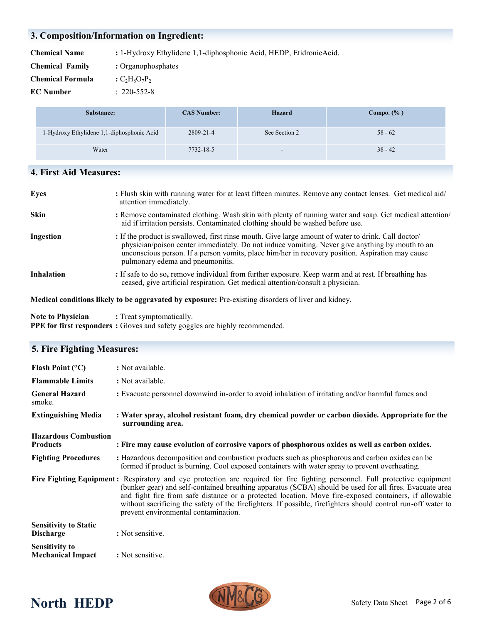### **3. Composition/Information on Ingredient:**

| <b>Chemical Name</b>    | : 1-Hydroxy Ethylidene 1,1-diphosphonic Acid, HEDP, EtidronicAcid. |
|-------------------------|--------------------------------------------------------------------|
| <b>Chemical Family</b>  | : Organophosphates                                                 |
| <b>Chemical Formula</b> | : $C_2H_8O_7P_2$                                                   |
| <b>EC</b> Number        | $: 220 - 552 - 8$                                                  |

| Substance:                                 | <b>CAS Number:</b> | Hazard                   | Compo. $(\% )$ |
|--------------------------------------------|--------------------|--------------------------|----------------|
| 1-Hydroxy Ethylidene 1,1-diphosphonic Acid | 2809-21-4          | See Section 2            | $58 - 62$      |
| Water                                      | 7732-18-5          | $\overline{\phantom{a}}$ | $38 - 42$      |

### **4. First Aid Measures:**

| <b>Eyes</b>                                                                                         | : Flush skin with running water for at least fifteen minutes. Remove any contact lenses. Get medical aid/<br>attention immediately.                                                                                                                                                                                                            |  |
|-----------------------------------------------------------------------------------------------------|------------------------------------------------------------------------------------------------------------------------------------------------------------------------------------------------------------------------------------------------------------------------------------------------------------------------------------------------|--|
| <b>Skin</b>                                                                                         | : Remove contaminated clothing. Wash skin with plenty of running water and soap. Get medical attention/<br>aid if irritation persists. Contaminated clothing should be washed before use.                                                                                                                                                      |  |
| Ingestion                                                                                           | : If the product is swallowed, first rinse mouth. Give large amount of water to drink. Call doctor/<br>physician/poison center immediately. Do not induce vomiting. Never give anything by mouth to an<br>unconscious person. If a person vomits, place him/her in recovery position. Aspiration may cause<br>pulmonary edema and pneumonitis. |  |
| <b>Inhalation</b>                                                                                   | : If safe to do so, remove individual from further exposure. Keep warm and at rest. If breathing has<br>ceased, give artificial respiration. Get medical attention/consult a physician.                                                                                                                                                        |  |
| Medical conditions likely to be aggravated by exposure: Pre-existing disorders of liver and kidney. |                                                                                                                                                                                                                                                                                                                                                |  |

**Note to Physician :** Treat symptomatically. **PPE for first responders :** Gloves and safety goggles are highly recommended.

### **5. Fire Fighting Measures: Flash Point (°C)** : Not available. **Flammable Limits : Not available. General Hazard :** Evacuate personnel downwind in-order to avoid inhalation of irritating and/or harmful fumes and smoke. **Extinguishing Media : Water spray, alcohol resistant foam, dry chemical powder or carbon dioxide. Appropriate for the surrounding area. Hazardous Combustion Products : Fire may cause evolution of corrosive vapors of phosphorous oxides as well as carbon oxides. Fighting Procedures :** Hazardous decomposition and combustion products such as phosphorous and carbon oxides can be formed if product is burning. Cool exposed containers with water spray to prevent overheating. **Fire Fighting Equipment:** Respiratory and eye protection are required for fire fighting personnel. Full protective equipment (bunker gear) and self-contained breathing apparatus (SCBA) should be used for all fires. Evacuate area and fight fire from safe distance or a protected location. Move fire-exposed containers, if allowable without sacrificing the safety of the firefighters. If possible, firefighters should control run-off water to prevent environmental contamination. **Sensitivity to Static Discharge** : Not sensitive. **Sensitivity to**

**Mechanical Impact** : Not sensitive.

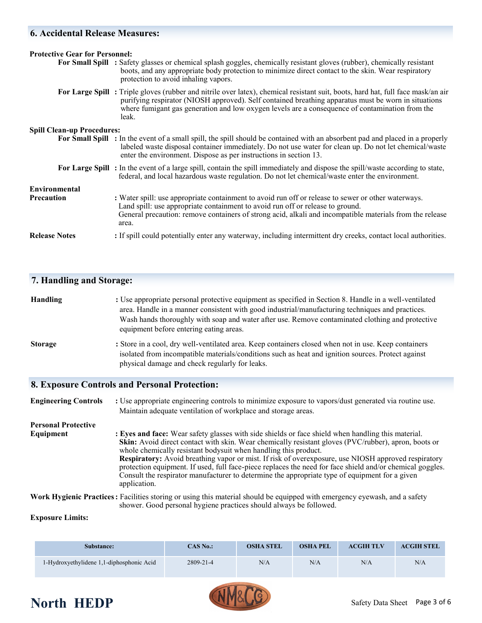### **6. Accidental Release Measures:**

| <b>Protective Gear for Personnel:</b> |                                                                                                                                                                                                                                                                                                                                                     |  |  |
|---------------------------------------|-----------------------------------------------------------------------------------------------------------------------------------------------------------------------------------------------------------------------------------------------------------------------------------------------------------------------------------------------------|--|--|
|                                       | For Small Spill : Safety glasses or chemical splash goggles, chemically resistant gloves (rubber), chemically resistant<br>boots, and any appropriate body protection to minimize direct contact to the skin. Wear respiratory<br>protection to avoid inhaling vapors.                                                                              |  |  |
|                                       | For Large Spill: Triple gloves (rubber and nitrile over latex), chemical resistant suit, boots, hard hat, full face mask/an air<br>purifying respirator (NIOSH approved). Self contained breathing apparatus must be worn in situations<br>where fumigant gas generation and low oxygen levels are a consequence of contamination from the<br>leak. |  |  |
| <b>Spill Clean-up Procedures:</b>     |                                                                                                                                                                                                                                                                                                                                                     |  |  |
|                                       | For Small Spill : In the event of a small spill, the spill should be contained with an absorbent pad and placed in a properly<br>labeled waste disposal container immediately. Do not use water for clean up. Do not let chemical/waste<br>enter the environment. Dispose as per instructions in section 13.                                        |  |  |
|                                       | For Large Spill : In the event of a large spill, contain the spill immediately and dispose the spill/waste according to state,<br>federal, and local hazardous waste regulation. Do not let chemical/waste enter the environment.                                                                                                                   |  |  |
| Environmental                         |                                                                                                                                                                                                                                                                                                                                                     |  |  |
| <b>Precaution</b>                     | : Water spill: use appropriate containment to avoid run off or release to sewer or other waterways.<br>Land spill: use appropriate containment to avoid run off or release to ground.<br>General precaution: remove containers of strong acid, alkali and incompatible materials from the release<br>area.                                          |  |  |
| <b>Release Notes</b>                  | : If spill could potentially enter any waterway, including intermittent dry creeks, contact local authorities.                                                                                                                                                                                                                                      |  |  |

### **7. Handling and Storage:**

| <b>Handling</b> | : Use appropriate personal protective equipment as specified in Section 8. Handle in a well-ventilated |
|-----------------|--------------------------------------------------------------------------------------------------------|
|                 | area. Handle in a manner consistent with good industrial/manufacturing techniques and practices.       |
|                 | Wash hands thoroughly with soap and water after use. Remove contaminated clothing and protective       |
|                 | equipment before entering eating areas.                                                                |
| $-$             |                                                                                                        |

**Storage : Store in a cool, dry well-ventilated area. Keep containers closed when not in use. Keep containers**  isolated from incompatible materials/conditions such as heat and ignition sources. Protect against physical damage and check regularly for leaks.

### **8. Exposure Controls and Personal Protection:**

**Engineering Controls** : Use appropriate engineering controls to minimize exposure to vapors/dust generated via routine use. Maintain adequate ventilation of workplace and storage areas. **Personal Protective Equipment** : Eyes and face: Wear safety glasses with side shields or face shield when handling this material. **Skin:** Avoid direct contact with skin. Wear chemically resistant gloves (PVC/rubber), apron, boots or whole chemically resistant bodysuit when handling this product. **Respiratory:** Avoid breathing vapor or mist. If risk of overexposure, use NIOSH approved respiratory protection equipment. If used, full face-piece replaces the need for face shield and/or chemical goggles. Consult the respirator manufacturer to determine the appropriate type of equipment for a given application. **Work Hygienic Practices:** Facilities storing or using this material should be equipped with emergency eyewash, and a safety shower. Good personal hygiene practices should always be followed.

#### **Exposure Limits:**

| Substance:                                | $CAS$ No.: | <b>OSHA STEL</b> | <b>OSHA PEL</b> | <b>ACGIH TLV</b> | <b>ACGIH STEL</b> |
|-------------------------------------------|------------|------------------|-----------------|------------------|-------------------|
| 1-Hydroxyethylidene 1,1-diphosphonic Acid | 2809-21-4  | N/A              | N/A             | N/A              | N/A               |

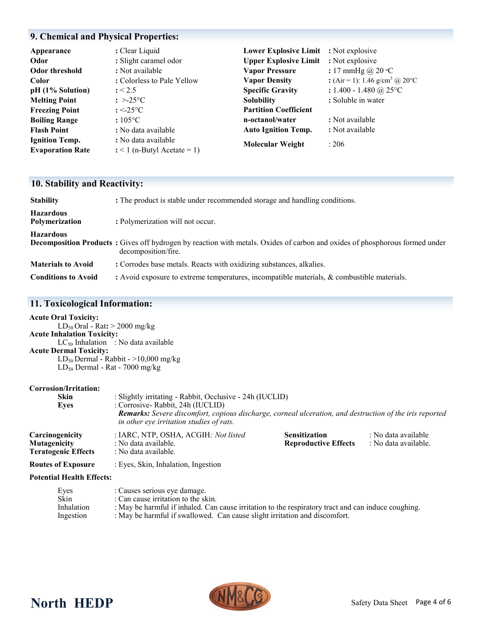## **9. Chemical and Physical Properties:**

| Appearance              | : Clear Liquid                | Lower Explosive Limit : Not explosive |                                            |
|-------------------------|-------------------------------|---------------------------------------|--------------------------------------------|
| Odor                    | : Slight caramel odor         | <b>Upper Explosive Limit</b>          | : Not explosive                            |
| <b>Odor threshold</b>   | : Not available               | <b>Vapor Pressure</b>                 | : 17 mmHg @ $20 °C$                        |
| Color                   | : Colorless to Pale Yellow    | <b>Vapor Density</b>                  | : (Air = 1): 1.46 g/cm <sup>3</sup> @ 20°C |
| pH (1% Solution)        | : < 2.5                       | <b>Specific Gravity</b>               | : $1.400 - 1.480$ @ 25°C                   |
| <b>Melting Point</b>    | $\therefore$ >-25°C           | <b>Solubility</b>                     | : Soluble in water                         |
| <b>Freezing Point</b>   | : $\leq$ -25 $\degree$ C      | <b>Partition Coefficient</b>          |                                            |
| <b>Boiling Range</b>    | $:105\textdegree C$           | n-octanol/water                       | : Not available                            |
| <b>Flash Point</b>      | : No data available           | <b>Auto Ignition Temp.</b>            | : Not available                            |
| <b>Ignition Temp.</b>   | : No data available           | <b>Molecular Weight</b>               | : 206                                      |
| <b>Evaporation Rate</b> | $:$ < 1 (n-Butyl Acetate = 1) |                                       |                                            |

## **10. Stability and Reactivity:**

| <b>Stability</b>                   | : The product is stable under recommended storage and handling conditions.                                                                                 |
|------------------------------------|------------------------------------------------------------------------------------------------------------------------------------------------------------|
| <b>Hazardous</b><br>Polymerization | : Polymerization will not occur.                                                                                                                           |
| <b>Hazardous</b>                   | <b>Decomposition Products</b> : Gives off hydrogen by reaction with metals. Oxides of carbon and oxides of phosphorous formed under<br>decomposition/fire. |
| <b>Materials to Avoid</b>          | : Corrodes base metals. Reacts with oxidizing substances, alkalies.                                                                                        |
| <b>Conditions to Avoid</b>         | : Avoid exposure to extreme temperatures, incompatible materials, & combustible materials.                                                                 |

### **11. Toxicological Information:**

| <b>Acute Oral Toxicity:</b>               |
|-------------------------------------------|
| $LD_{50}$ Oral - Rat: $> 2000$ mg/kg      |
| <b>Acute Inhalation Toxicity:</b>         |
| $LC_{50}$ Inhalation : No data available  |
| <b>Acute Dermal Toxicity:</b>             |
| $LD_{50}$ Dermal - Rabbit - >10,000 mg/kg |
| $LD_{50}$ Dermal - Rat - 7000 mg/kg       |
|                                           |

#### **Corrosion/Irritation:**

| <b>Skin</b><br>Eves                                                  | : Slightly irritating - Rabbit, Occlusive - 24h (IUCLID)<br>: Corrosive- Rabbit, 24h (IUCLID)<br><b>Remarks:</b> Severe discomfort, copious discharge, corneal ulceration, and destruction of the iris reported<br>in other eve irritation studies of rats. |                                                     |                                             |  |
|----------------------------------------------------------------------|-------------------------------------------------------------------------------------------------------------------------------------------------------------------------------------------------------------------------------------------------------------|-----------------------------------------------------|---------------------------------------------|--|
| Carcinogenicity<br><b>Mutagenicity</b><br><b>Teratogenic Effects</b> | : IARC, NTP, OSHA, ACGIH: Not listed<br>: No data available.<br>: No data available.                                                                                                                                                                        | <b>Sensitization</b><br><b>Reproductive Effects</b> | : No data available<br>: No data available. |  |
| <b>Routes of Exposure</b>                                            | : Eyes, Skin, Inhalation, Ingestion                                                                                                                                                                                                                         |                                                     |                                             |  |
| <b>Potential Health Effects:</b>                                     |                                                                                                                                                                                                                                                             |                                                     |                                             |  |

| Eyes       | : Causes serious eye damage.                                                                        |
|------------|-----------------------------------------------------------------------------------------------------|
| Skin       | : Can cause irritation to the skin.                                                                 |
| Inhalation | : May be harmful if inhaled. Can cause irritation to the respiratory tract and can induce coughing. |
| Ingestion  | : May be harmful if swallowed. Can cause slight irritation and discomfort.                          |
|            |                                                                                                     |



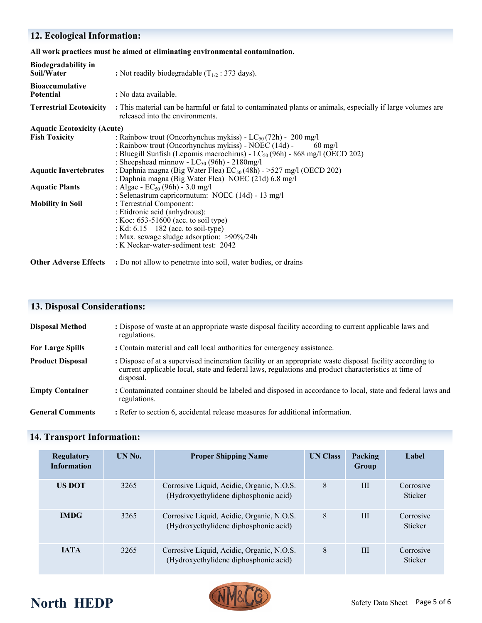### **12. Ecological Information:**

**All work practices must be aimed at eliminating environmental contamination.** 

| <b>Biodegradability in</b><br>Soil/Water   | : Not readily biodegradable $(T_{1/2} : 373 \text{ days})$ .                                                                                                                                                                                                                          |  |  |  |  |  |
|--------------------------------------------|---------------------------------------------------------------------------------------------------------------------------------------------------------------------------------------------------------------------------------------------------------------------------------------|--|--|--|--|--|
| <b>Bioaccumulative</b><br><b>Potential</b> | : No data available.                                                                                                                                                                                                                                                                  |  |  |  |  |  |
| <b>Terrestrial Ecotoxicity</b>             | : This material can be harmful or fatal to contaminated plants or animals, especially if large volumes are<br>released into the environments.                                                                                                                                         |  |  |  |  |  |
| <b>Aquatic Ecotoxicity (Acute)</b>         |                                                                                                                                                                                                                                                                                       |  |  |  |  |  |
| <b>Fish Toxicity</b>                       | : Rainbow trout (Oncorhynchus mykiss) - $LC_{50}(72h)$ - 200 mg/l<br>: Rainbow trout (Oncorhynchus mykiss) - NOEC (14d) -<br>$60 \text{ mg/l}$<br>: Bluegill Sunfish (Lepomis macrochirus) - $LC_{50}(96h)$ - 868 mg/l (OECD 202)<br>: Sheepshead minnow - $LC_{50}$ (96h) - 2180mg/l |  |  |  |  |  |
| <b>Aquatic Invertebrates</b>               | : Daphnia magna (Big Water Flea) $EC_{50}(48h) - 527$ mg/l (OECD 202)<br>: Daphnia magna (Big Water Flea) NOEC (21d) 6.8 mg/l                                                                                                                                                         |  |  |  |  |  |
| <b>Aquatic Plants</b>                      | : Algae - $EC_{50}$ (96h) - 3.0 mg/l<br>: Selenastrum capricornutum: NOEC (14d) - 13 mg/l                                                                                                                                                                                             |  |  |  |  |  |
| <b>Mobility in Soil</b>                    | : Terrestrial Component:<br>: Etidronic acid (anhydrous):<br>: Koc: $653-51600$ (acc. to soil type)<br>: Kd: $6.15 - 182$ (acc. to soil-type)<br>: Max. sewage sludge adsorption: >90%/24h<br>: K Neckar-water-sediment test: 2042                                                    |  |  |  |  |  |
| <b>Other Adverse Effects</b>               | : Do not allow to penetrate into soil, water bodies, or drains                                                                                                                                                                                                                        |  |  |  |  |  |

## **13. Disposal Considerations:**

| <b>Disposal Method</b>  | : Dispose of waste at an appropriate waste disposal facility according to current applicable laws and<br>regulations.                                                                                                          |
|-------------------------|--------------------------------------------------------------------------------------------------------------------------------------------------------------------------------------------------------------------------------|
| <b>For Large Spills</b> | : Contain material and call local authorities for emergency assistance.                                                                                                                                                        |
| <b>Product Disposal</b> | : Dispose of at a supervised incineration facility or an appropriate waste disposal facility according to<br>current applicable local, state and federal laws, regulations and product characteristics at time of<br>disposal. |
| <b>Empty Container</b>  | : Contaminated container should be labeled and disposed in accordance to local, state and federal laws and<br>regulations.                                                                                                     |
| <b>General Comments</b> | : Refer to section 6, accidental release measures for additional information.                                                                                                                                                  |

## **14. Transport Information:**

| <b>Regulatory</b><br><b>Information</b> | UN No. | <b>Proper Shipping Name</b>                                                        | <b>UN Class</b> | Packing<br>Group | Label                |
|-----------------------------------------|--------|------------------------------------------------------------------------------------|-----------------|------------------|----------------------|
| <b>US DOT</b>                           | 3265   | Corrosive Liquid, Acidic, Organic, N.O.S.<br>(Hydroxyethylidene diphosphonic acid) | 8               | III              | Corrosive<br>Sticker |
| <b>IMDG</b>                             | 3265   | Corrosive Liquid, Acidic, Organic, N.O.S.<br>(Hydroxyethylidene diphosphonic acid) | 8               | III              | Corrosive<br>Sticker |
| <b>JATA</b>                             | 3265   | Corrosive Liquid, Acidic, Organic, N.O.S.<br>(Hydroxyethylidene diphosphonic acid) | 8               | III              | Corrosive<br>Sticker |